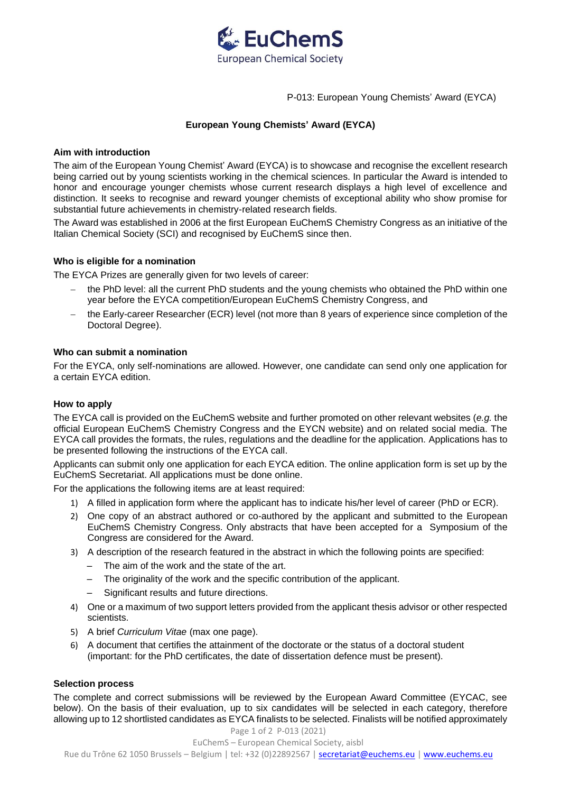

P-013: European Young Chemists' Award (EYCA)

# **European Young Chemists' Award (EYCA)**

# **Aim with introduction**

The aim of the European Young Chemist' Award (EYCA) is to showcase and recognise the excellent research being carried out by young scientists working in the chemical sciences. In particular the Award is intended to honor and encourage younger chemists whose current research displays a high level of excellence and distinction. It seeks to recognise and reward younger chemists of exceptional ability who show promise for substantial future achievements in chemistry-related research fields.

The Award was established in 2006 at the first European EuChemS Chemistry Congress as an initiative of the Italian Chemical Society (SCI) and recognised by EuChemS since then.

# **Who is eligible for a nomination**

The EYCA Prizes are generally given for two levels of career:

- the PhD level: all the current PhD students and the young chemists who obtained the PhD within one year before the EYCA competition/European EuChemS Chemistry Congress, and
- the Early-career Researcher (ECR) level (not more than 8 years of experience since completion of the Doctoral Degree).

# **Who can submit a nomination**

For the EYCA, only self-nominations are allowed. However, one candidate can send only one application for a certain EYCA edition.

# **How to apply**

The EYCA call is provided on the EuChemS website and further promoted on other relevant websites (*e.g.* the official European EuChemS Chemistry Congress and the EYCN website) and on related social media. The EYCA call provides the formats, the rules, regulations and the deadline for the application. Applications has to be presented following the instructions of the EYCA call.

Applicants can submit only one application for each EYCA edition. The online application form is set up by the EuChemS Secretariat. All applications must be done online.

For the applications the following items are at least required:

- 1) A filled in application form where the applicant has to indicate his/her level of career (PhD or ECR).
- 2) One copy of an abstract authored or co-authored by the applicant and submitted to the European EuChemS Chemistry Congress. Only abstracts that have been accepted for a Symposium of the Congress are considered for the Award.
- 3) A description of the research featured in the abstract in which the following points are specified:
	- The aim of the work and the state of the art.
	- The originality of the work and the specific contribution of the applicant.
	- Significant results and future directions.
- 4) One or a maximum of two support letters provided from the applicant thesis advisor or other respected scientists.
- 5) A brief *Curriculum Vitae* (max one page).
- 6) A document that certifies the attainment of the doctorate or the status of a doctoral student (important: for the PhD certificates, the date of dissertation defence must be present).

# **Selection process**

The complete and correct submissions will be reviewed by the European Award Committee (EYCAC, see below). On the basis of their evaluation, up to six candidates will be selected in each category, therefore allowing up to 12 shortlisted candidates as EYCA finalists to be selected. Finalists will be notified approximately

# Page 1 of 2 P-013 (2021)

EuChemS – European Chemical Society, aisbl

Rue du Trône 62 1050 Brussels - Belgium | tel: +32 (0)22892567 | [secretariat@euchems.eu](mailto:secretariat@euchems.eu) [| www.euchems.eu](http://www.euchems.eu/)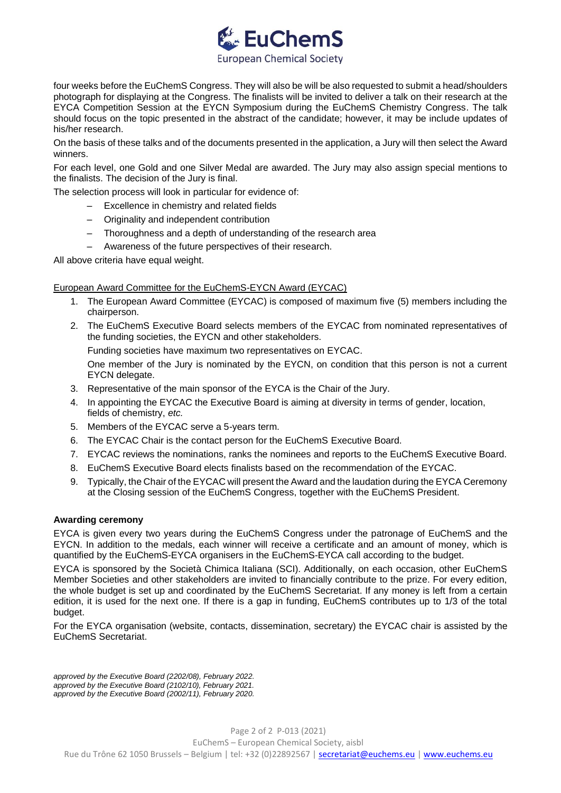

four weeks before the EuChemS Congress. They will also be will be also requested to submit a head/shoulders photograph for displaying at the Congress. The finalists will be invited to deliver a talk on their research at the EYCA Competition Session at the EYCN Symposium during the EuChemS Chemistry Congress. The talk should focus on the topic presented in the abstract of the candidate; however, it may be include updates of his/her research.

On the basis of these talks and of the documents presented in the application, a Jury will then select the Award winners.

For each level, one Gold and one Silver Medal are awarded. The Jury may also assign special mentions to the finalists. The decision of the Jury is final.

The selection process will look in particular for evidence of:

- Excellence in chemistry and related fields
- Originality and independent contribution
- Thoroughness and a depth of understanding of the research area
- Awareness of the future perspectives of their research.

All above criteria have equal weight.

# European Award Committee for the EuChemS-EYCN Award (EYCAC)

- 1. The European Award Committee (EYCAC) is composed of maximum five (5) members including the chairperson.
- 2. The EuChemS Executive Board selects members of the EYCAC from nominated representatives of the funding societies, the EYCN and other stakeholders.

Funding societies have maximum two representatives on EYCAC.

One member of the Jury is nominated by the EYCN, on condition that this person is not a current EYCN delegate.

- 3. Representative of the main sponsor of the EYCA is the Chair of the Jury.
- 4. In appointing the EYCAC the Executive Board is aiming at diversity in terms of gender, location, fields of chemistry, *etc.*
- 5. Members of the EYCAC serve a 5-years term.
- 6. The EYCAC Chair is the contact person for the EuChemS Executive Board.
- 7. EYCAC reviews the nominations, ranks the nominees and reports to the EuChemS Executive Board.
- 8. EuChemS Executive Board elects finalists based on the recommendation of the EYCAC.
- 9. Typically, the Chair of the EYCAC will present the Award and the laudation during the EYCA Ceremony at the Closing session of the EuChemS Congress, together with the EuChemS President.

# **Awarding ceremony**

EYCA is given every two years during the EuChemS Congress under the patronage of EuChemS and the EYCN. In addition to the medals, each winner will receive a certificate and an amount of money, which is quantified by the EuChemS-EYCA organisers in the EuChemS-EYCA call according to the budget.

EYCA is sponsored by the Società Chimica Italiana (SCI). Additionally, on each occasion, other EuChemS Member Societies and other stakeholders are invited to financially contribute to the prize. For every edition, the whole budget is set up and coordinated by the EuChemS Secretariat. If any money is left from a certain edition, it is used for the next one. If there is a gap in funding, EuChemS contributes up to 1/3 of the total budget.

For the EYCA organisation (website, contacts, dissemination, secretary) the EYCAC chair is assisted by the EuChemS Secretariat.

*approved by the Executive Board (2202/08), February 2022. approved by the Executive Board (2102/10), February 2021. approved by the Executive Board (2002/11), February 2020.*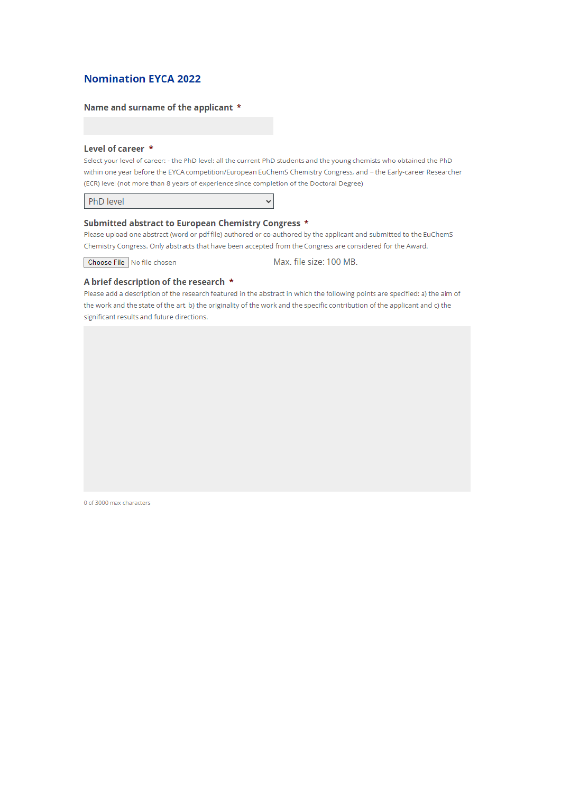# **Nomination EYCA 2022**

### Name and surname of the applicant \*

#### Level of career \*

Select your level of career: - the PhD level: all the current PhD students and the young chemists who obtained the PhD within one year before the EYCA competition/European EuChemS Chemistry Congress, and - the Early-career Researcher (ECR) level (not more than 8 years of experience since completion of the Doctoral Degree)

PhD level

### Submitted abstract to European Chemistry Congress \*

Please upload one abstract (word or pdf file) authored or co-authored by the applicant and submitted to the EuChemS Chemistry Congress. Only abstracts that have been accepted from the Congress are considered for the Award.

 $\checkmark$ 

Choose File No file chosen

Max. file size: 100 MB.

#### A brief description of the research \*

Please add a description of the research featured in the abstract in which the following points are specified: a) the aim of the work and the state of the art, b) the originality of the work and the specific contribution of the applicant and c) the significant results and future directions.

0 of 3000 max characters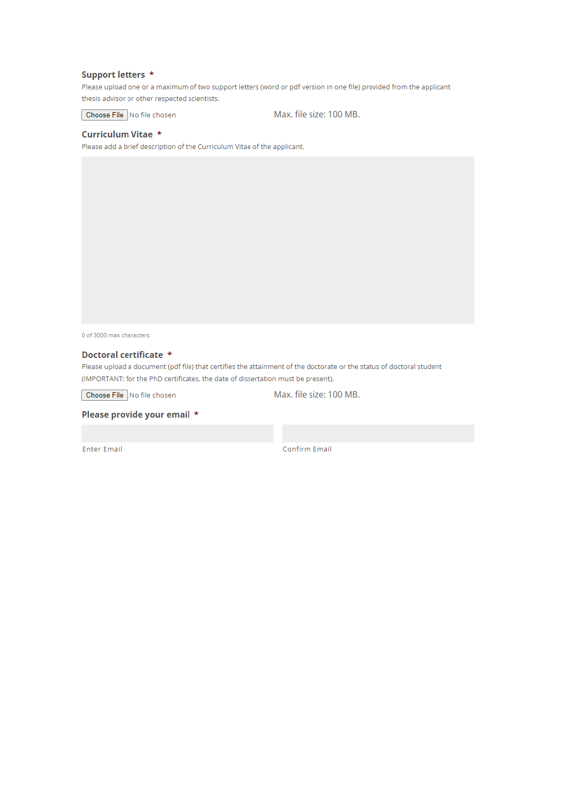### Support letters \*

Please upload one or a maximum of two support letters (word or pdf version in one file) provided from the applicant thesis advisor or other respected scientists.

Choose File No file chosen

Max. file size: 100 MB.

#### Curriculum Vitae \*

Please add a brief description of the Curriculum Vitae of the applicant.

0 of 3000 max characters

# Doctoral certificate \*

Please upload a document (pdf file) that certifies the attainment of the doctorate or the status of doctoral student (IMPORTANT: for the PhD certificates, the date of dissertation must be present).

Choose File No file chosen

Max. file size: 100 MB.

Please provide your email \*

**Enter Email** 

Confirm Email